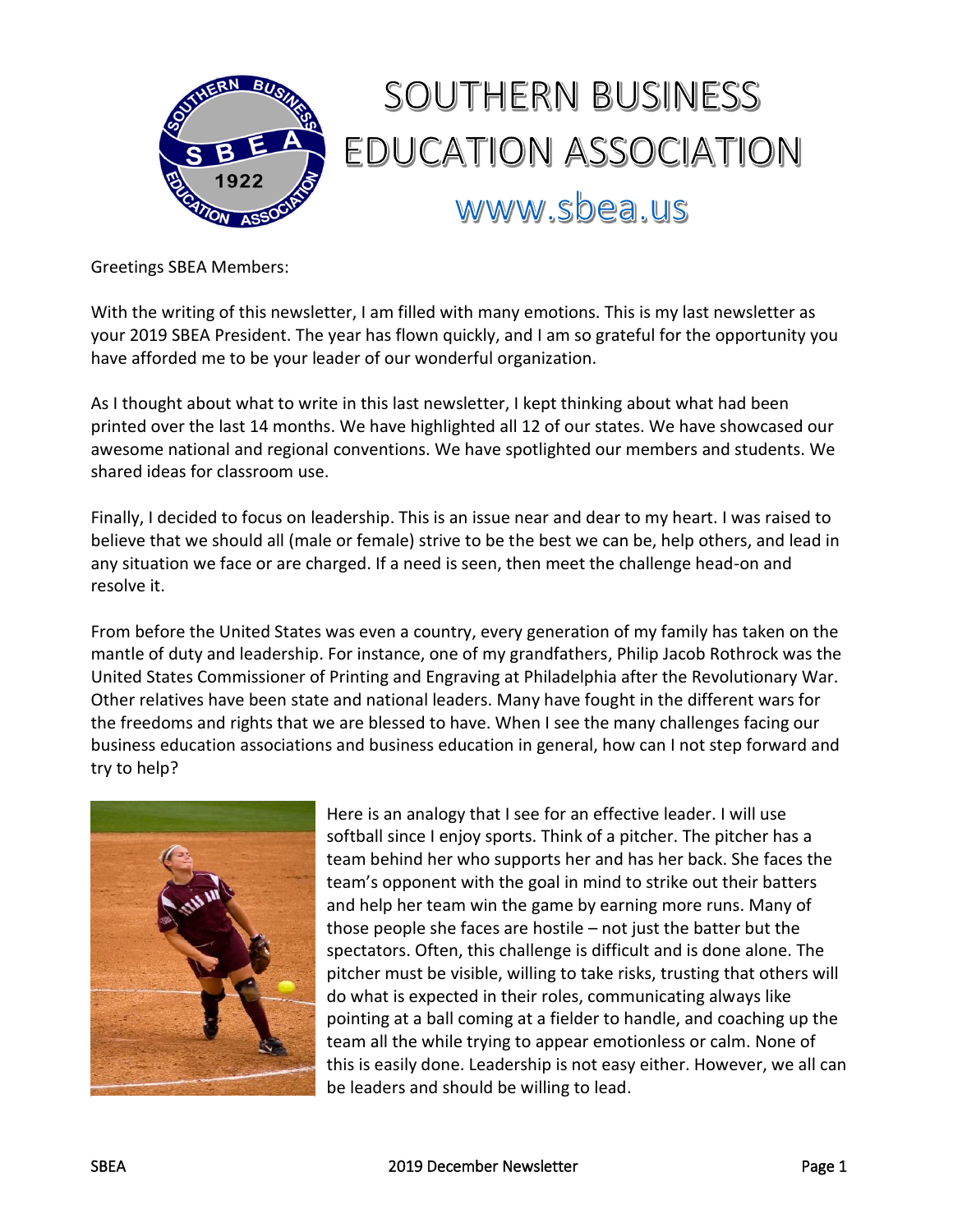

# SOUTHERN BUSINESS EDUCATION ASSOCIATION www.sbea.us

Greetings SBEA Members:

With the writing of this newsletter, I am filled with many emotions. This is my last newsletter as your 2019 SBEA President. The year has flown quickly, and I am so grateful for the opportunity you have afforded me to be your leader of our wonderful organization.

As I thought about what to write in this last newsletter, I kept thinking about what had been printed over the last 14 months. We have highlighted all 12 of our states. We have showcased our awesome national and regional conventions. We have spotlighted our members and students. We shared ideas for classroom use.

Finally, I decided to focus on leadership. This is an issue near and dear to my heart. I was raised to believe that we should all (male or female) strive to be the best we can be, help others, and lead in any situation we face or are charged. If a need is seen, then meet the challenge head-on and resolve it.

From before the United States was even a country, every generation of my family has taken on the mantle of duty and leadership. For instance, one of my grandfathers, Philip Jacob Rothrock was the United States Commissioner of Printing and Engraving at Philadelphia after the Revolutionary War. Other relatives have been state and national leaders. Many have fought in the different wars for the freedoms and rights that we are blessed to have. When I see the many challenges facing our business education associations and business education in general, how can I not step forward and try to help?



Here is an analogy that I see for an effective leader. I will use softball since I enjoy sports. Think of a pitcher. The pitcher has a team behind her who supports her and has her back. She faces the team's opponent with the goal in mind to strike out their batters and help her team win the game by earning more runs. Many of those people she faces are hostile – not just the batter but the spectators. Often, this challenge is difficult and is done alone. The pitcher must be visible, willing to take risks, trusting that others will do what is expected in their roles, communicating always like pointing at a ball coming at a fielder to handle, and coaching up the team all the while trying to appear emotionless or calm. None of this is easily done. Leadership is not easy either. However, we all can be leaders and should be willing to lead.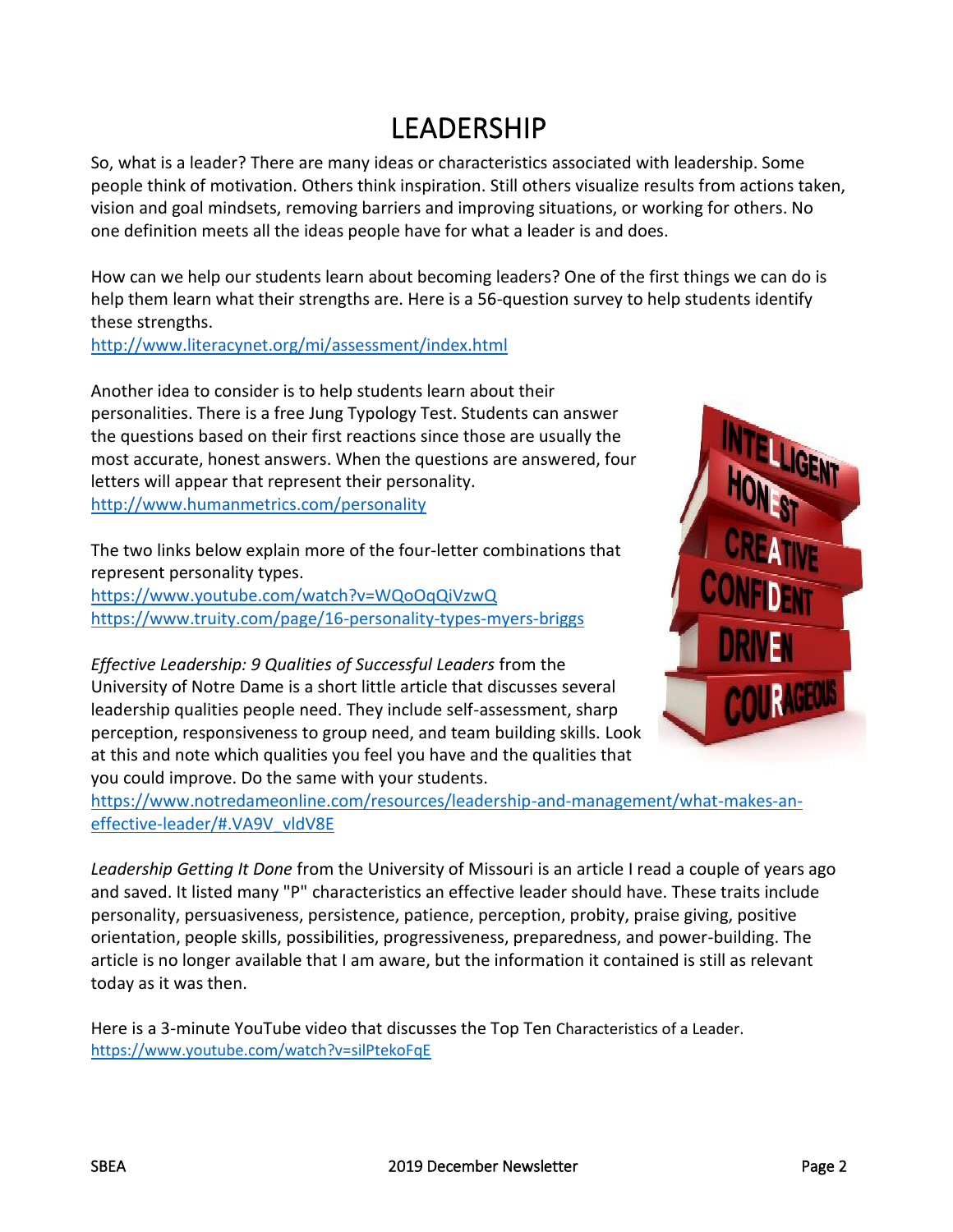# LEADERSHIP

So, what is a leader? There are many ideas or characteristics associated with leadership. Some people think of motivation. Others think inspiration. Still others visualize results from actions taken, vision and goal mindsets, removing barriers and improving situations, or working for others. No one definition meets all the ideas people have for what a leader is and does.

How can we help our students learn about becoming leaders? One of the first things we can do is help them learn what their strengths are. Here is a 56-question survey to help students identify these strengths.

<http://www.literacynet.org/mi/assessment/index.html>

Another idea to consider is to help students learn about their personalities. There is a free Jung Typology Test. Students can answer the questions based on their first reactions since those are usually the most accurate, honest answers. When the questions are answered, four letters will appear that represent their personality. <http://www.humanmetrics.com/personality>

The two links below explain more of the four-letter combinations that represent personality types. <https://www.youtube.com/watch?v=WQoOqQiVzwQ> <https://www.truity.com/page/16-personality-types-myers-briggs>

*Effective Leadership: 9 Qualities of Successful Leaders* from the University of Notre Dame is a short little article that discusses several leadership qualities people need. They include self-assessment, sharp perception, responsiveness to group need, and team building skills. Look at this and note which qualities you feel you have and the qualities that you could improve. Do the same with your students.



[effective-leader/#.VA9V\\_vldV8E](https://www.notredameonline.com/resources/leadership-and-management/what-makes-an-effective-leader/#.VA9V_vldV8E)

*Leadership Getting It Done* from the University of Missouri is an article I read a couple of years ago and saved. It listed many "P" characteristics an effective leader should have. These traits include personality, persuasiveness, persistence, patience, perception, probity, praise giving, positive orientation, people skills, possibilities, progressiveness, preparedness, and power-building. The article is no longer available that I am aware, but the information it contained is still as relevant today as it was then.

Here is a 3-minute YouTube video that discusses the Top Ten Characteristics of a Leader. <https://www.youtube.com/watch?v=silPtekoFqE>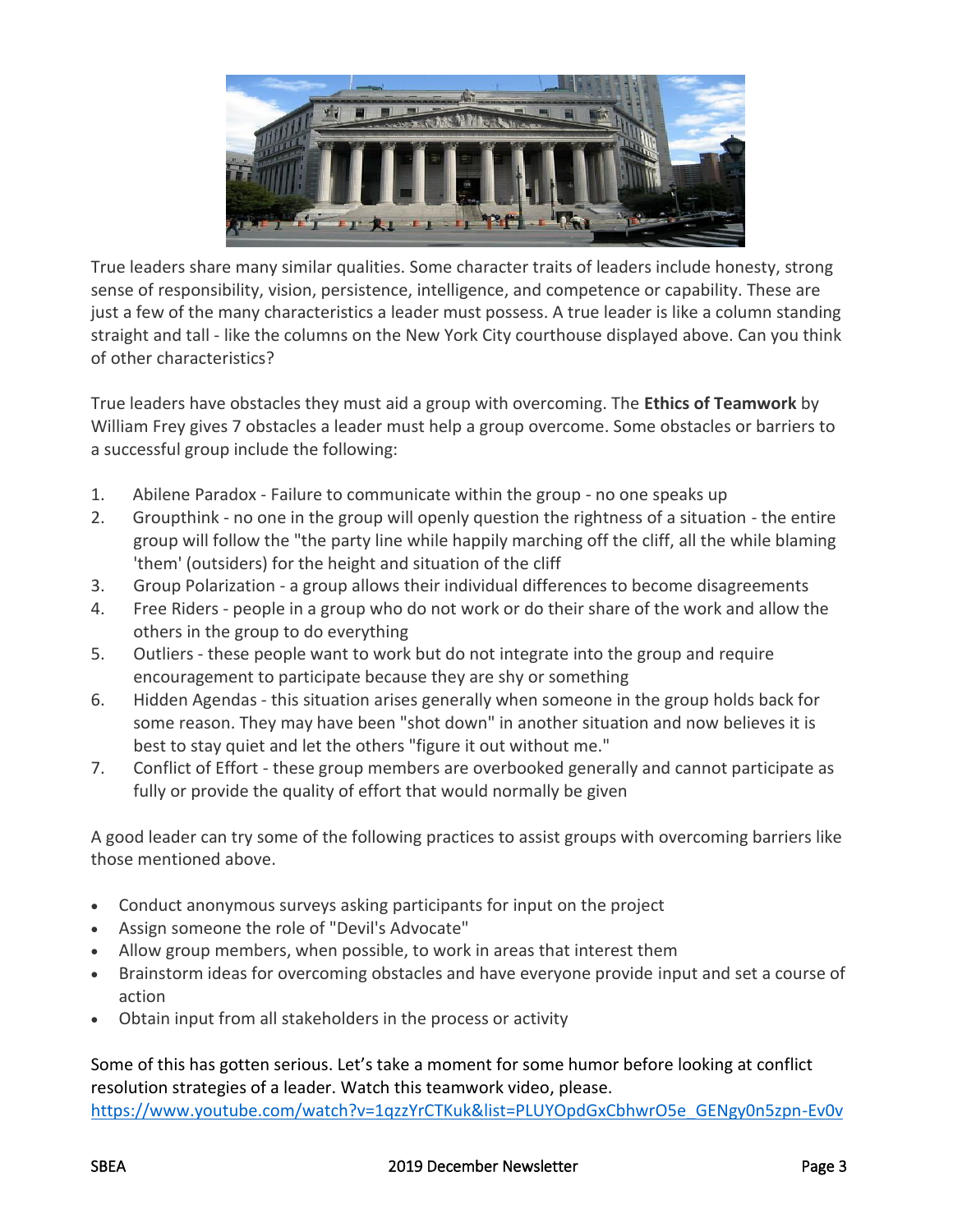

True leaders share many similar qualities. Some character traits of leaders include honesty, strong sense of responsibility, vision, persistence, intelligence, and competence or capability. These are just a few of the many characteristics a leader must possess. A true leader is like a column standing straight and tall - like the columns on the New York City courthouse displayed above. Can you think of other characteristics?

True leaders have obstacles they must aid a group with overcoming. The **Ethics of Teamwork** by William Frey gives 7 obstacles a leader must help a group overcome. Some obstacles or barriers to a successful group include the following:

- 1. Abilene Paradox Failure to communicate within the group no one speaks up
- 2. Groupthink no one in the group will openly question the rightness of a situation the entire group will follow the "the party line while happily marching off the cliff, all the while blaming 'them' (outsiders) for the height and situation of the cliff
- 3. Group Polarization a group allows their individual differences to become disagreements
- 4. Free Riders people in a group who do not work or do their share of the work and allow the others in the group to do everything
- 5. Outliers these people want to work but do not integrate into the group and require encouragement to participate because they are shy or something
- 6. Hidden Agendas this situation arises generally when someone in the group holds back for some reason. They may have been "shot down" in another situation and now believes it is best to stay quiet and let the others "figure it out without me."
- 7. Conflict of Effort these group members are overbooked generally and cannot participate as fully or provide the quality of effort that would normally be given

A good leader can try some of the following practices to assist groups with overcoming barriers like those mentioned above.

- Conduct anonymous surveys asking participants for input on the project
- Assign someone the role of "Devil's Advocate"
- Allow group members, when possible, to work in areas that interest them
- Brainstorm ideas for overcoming obstacles and have everyone provide input and set a course of action
- Obtain input from all stakeholders in the process or activity

Some of this has gotten serious. Let's take a moment for some humor before looking at conflict resolution strategies of a leader. Watch this teamwork video, please. [https://www.youtube.com/watch?v=1qzzYrCTKuk&list=PLUYOpdGxCbhwrO5e\\_GENgy0n5zpn-Ev0v](https://www.youtube.com/watch?v=1qzzYrCTKuk&list=PLUYOpdGxCbhwrO5e_GENgy0n5zpn-Ev0v)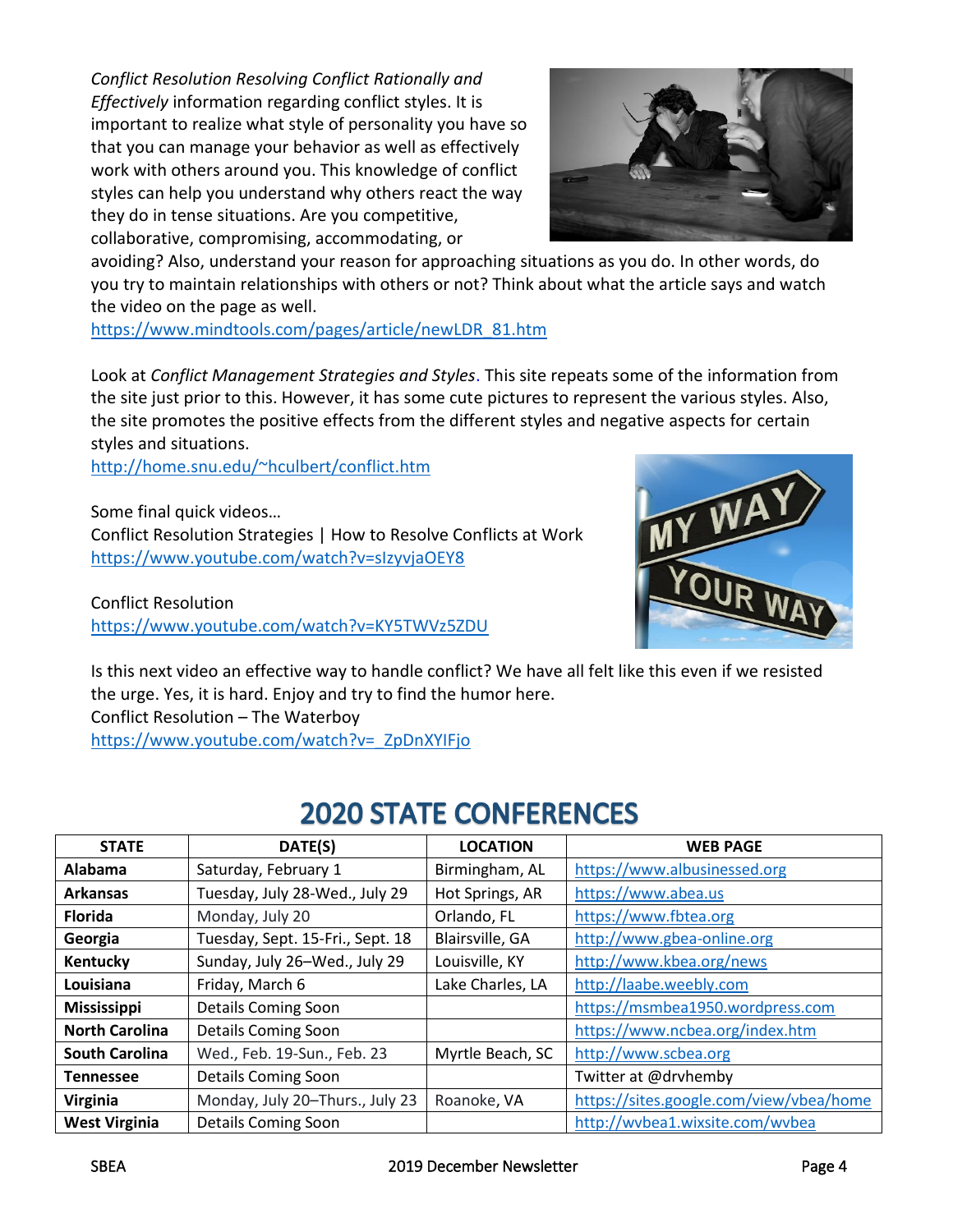*Conflict Resolution Resolving Conflict Rationally and Effectively* information regarding conflict styles. It is important to realize what style of personality you have so that you can manage your behavior as well as effectively work with others around you. This knowledge of conflict styles can help you understand why others react the way they do in tense situations. Are you competitive, collaborative, compromising, accommodating, or



avoiding? Also, understand your reason for approaching situations as you do. In other words, do you try to maintain relationships with others or not? Think about what the article says and watch the video on the page as well.

[https://www.mindtools.com/pages/article/newLDR\\_81.htm](https://www.mindtools.com/pages/article/newLDR_81.htm)

Look at *Conflict Management Strategies and Styles*. This site repeats some of the information from the site just prior to this. However, it has some cute pictures to represent the various styles. Also, the site promotes the positive effects from the different styles and negative aspects for certain styles and situations.

<http://home.snu.edu/~hculbert/conflict.htm>

Some final quick videos… Conflict Resolution Strategies | How to Resolve Conflicts at Work <https://www.youtube.com/watch?v=sIzyvjaOEY8>

Conflict Resolution <https://www.youtube.com/watch?v=KY5TWVz5ZDU>



Is this next video an effective way to handle conflict? We have all felt like this even if we resisted the urge. Yes, it is hard. Enjoy and try to find the humor here. Conflict Resolution – The Waterboy [https://www.youtube.com/watch?v=\\_ZpDnXYIFjo](https://www.youtube.com/watch?v=_ZpDnXYIFjo)

# **2020 STATE CONFERENCES**

| <b>STATE</b>          | DATE(S)                          | <b>LOCATION</b>  | <b>WEB PAGE</b>                         |
|-----------------------|----------------------------------|------------------|-----------------------------------------|
| <b>Alabama</b>        | Saturday, February 1             | Birmingham, AL   | https://www.albusinessed.org            |
| <b>Arkansas</b>       | Tuesday, July 28-Wed., July 29   | Hot Springs, AR  | https://www.abea.us                     |
| <b>Florida</b>        | Monday, July 20                  | Orlando, FL      | https://www.fbtea.org                   |
| Georgia               | Tuesday, Sept. 15-Fri., Sept. 18 | Blairsville, GA  | http://www.gbea-online.org              |
| Kentucky              | Sunday, July 26-Wed., July 29    | Louisville, KY   | http://www.kbea.org/news                |
| Louisiana             | Friday, March 6                  | Lake Charles, LA | http://laabe.weebly.com                 |
| <b>Mississippi</b>    | <b>Details Coming Soon</b>       |                  | https://msmbea1950.wordpress.com        |
| <b>North Carolina</b> | <b>Details Coming Soon</b>       |                  | https://www.ncbea.org/index.htm         |
| <b>South Carolina</b> | Wed., Feb. 19-Sun., Feb. 23      | Myrtle Beach, SC | http://www.scbea.org                    |
| <b>Tennessee</b>      | <b>Details Coming Soon</b>       |                  | Twitter at @drvhemby                    |
| Virginia              | Monday, July 20-Thurs., July 23  | Roanoke, VA      | https://sites.google.com/view/vbea/home |
| <b>West Virginia</b>  | <b>Details Coming Soon</b>       |                  | http://wvbea1.wixsite.com/wvbea         |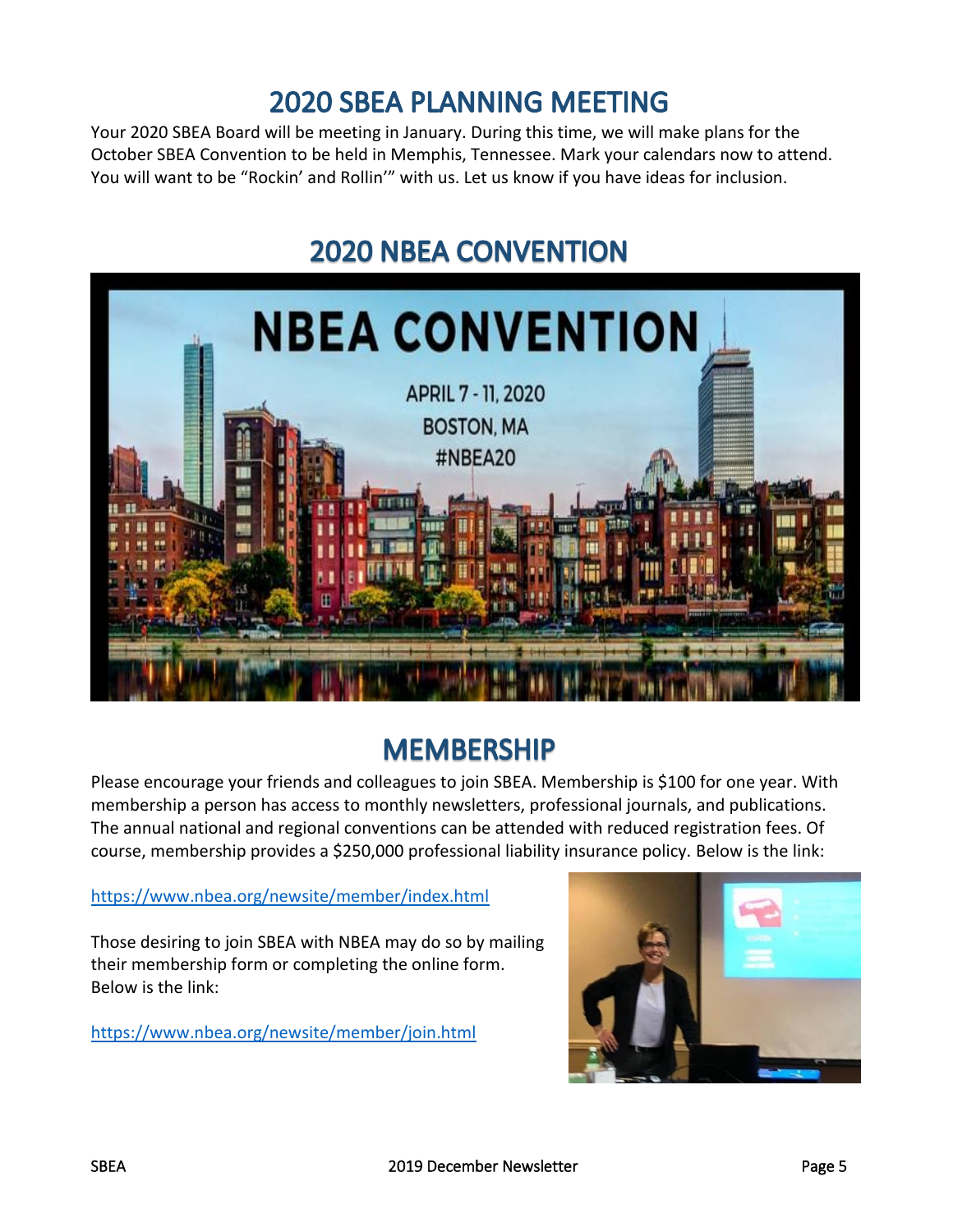#### **2020 SBEA PLANNING MEETING**

Your 2020 SBEA Board will be meeting in January. During this time, we will make plans for the October SBEA Convention to be held in Memphis, Tennessee. Mark your calendars now to attend. You will want to be "Rockin' and Rollin'" with us. Let us know if you have ideas for inclusion.

# **2020 NBEA CONVENTION**



### **MEMBERSHIP**

Please encourage your friends and colleagues to join SBEA. Membership is \$100 for one year. With membership a person has access to monthly newsletters, professional journals, and publications. The annual national and regional conventions can be attended with reduced registration fees. Of course, membership provides a \$250,000 professional liability insurance policy. Below is the link:

#### <https://www.nbea.org/newsite/member/index.html>

Those desiring to join SBEA with NBEA may do so by mailing their membership form or completing the online form. Below is the link:

<https://www.nbea.org/newsite/member/join.html>

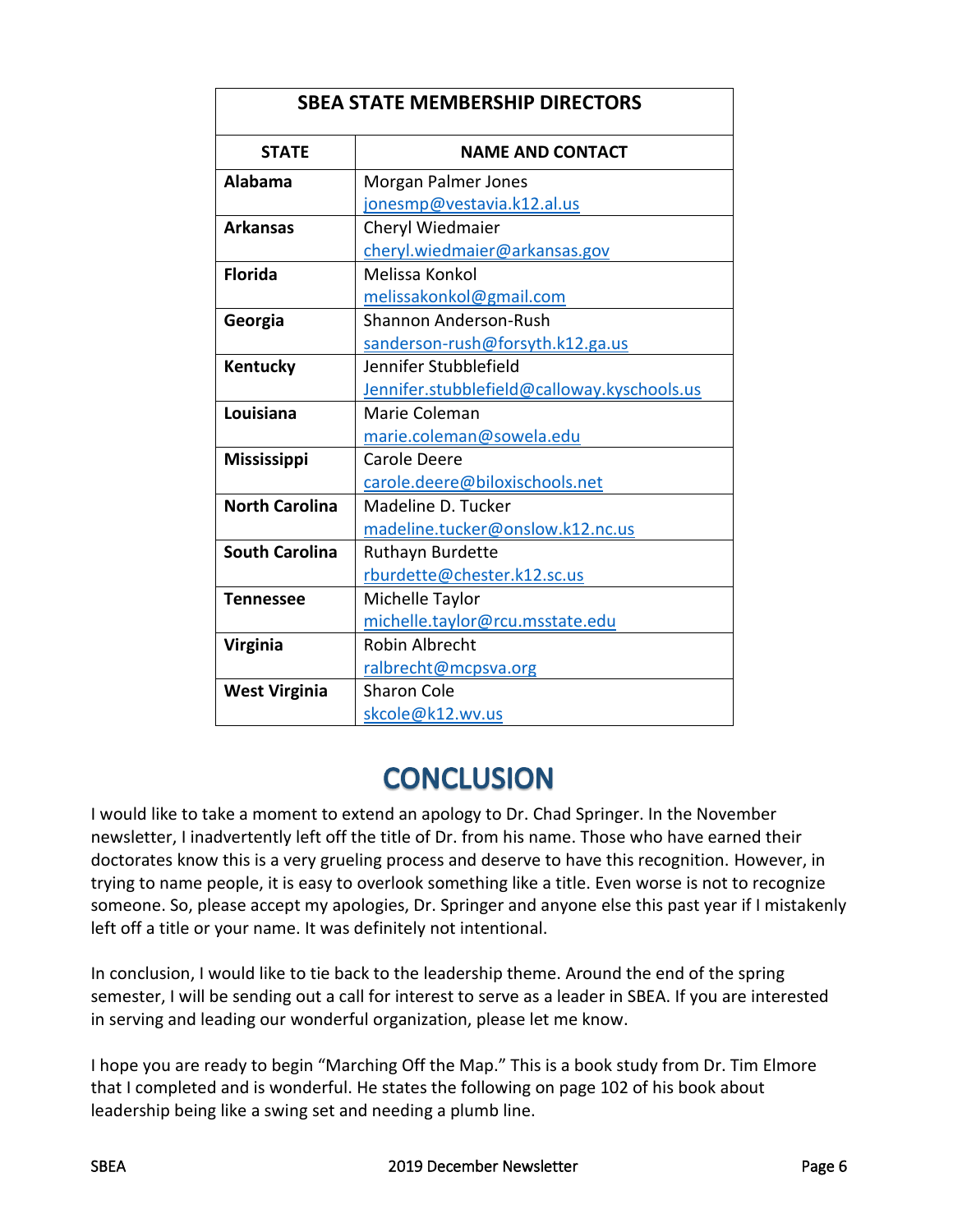| <b>SBEA STATE MEMBERSHIP DIRECTORS</b> |                                             |  |  |
|----------------------------------------|---------------------------------------------|--|--|
| <b>STATE</b>                           | <b>NAME AND CONTACT</b>                     |  |  |
| Alabama                                | Morgan Palmer Jones                         |  |  |
|                                        | jonesmp@vestavia.k12.al.us                  |  |  |
| <b>Arkansas</b>                        | Cheryl Wiedmaier                            |  |  |
|                                        | cheryl.wiedmaier@arkansas.gov               |  |  |
| <b>Florida</b>                         | Melissa Konkol                              |  |  |
|                                        | melissakonkol@gmail.com                     |  |  |
| Georgia                                | <b>Shannon Anderson-Rush</b>                |  |  |
|                                        | sanderson-rush@forsyth.k12.ga.us            |  |  |
| Kentucky                               | Jennifer Stubblefield                       |  |  |
|                                        | Jennifer.stubblefield@calloway.kyschools.us |  |  |
| Louisiana                              | Marie Coleman                               |  |  |
|                                        | marie.coleman@sowela.edu                    |  |  |
| <b>Mississippi</b>                     | Carole Deere                                |  |  |
|                                        | carole.deere@biloxischools.net              |  |  |
| <b>North Carolina</b>                  | Madeline D. Tucker                          |  |  |
|                                        | madeline.tucker@onslow.k12.nc.us            |  |  |
| <b>South Carolina</b>                  | Ruthayn Burdette                            |  |  |
|                                        | rburdette@chester.k12.sc.us                 |  |  |
| <b>Tennessee</b>                       | Michelle Taylor                             |  |  |
|                                        | michelle.taylor@rcu.msstate.edu             |  |  |
| <b>Virginia</b>                        | <b>Robin Albrecht</b>                       |  |  |
|                                        | ralbrecht@mcpsva.org                        |  |  |
| <b>West Virginia</b>                   | <b>Sharon Cole</b>                          |  |  |
|                                        | skcole@k12.wv.us                            |  |  |

# **CONCLUSION**

I would like to take a moment to extend an apology to Dr. Chad Springer. In the November newsletter, I inadvertently left off the title of Dr. from his name. Those who have earned their doctorates know this is a very grueling process and deserve to have this recognition. However, in trying to name people, it is easy to overlook something like a title. Even worse is not to recognize someone. So, please accept my apologies, Dr. Springer and anyone else this past year if I mistakenly left off a title or your name. It was definitely not intentional.

In conclusion, I would like to tie back to the leadership theme. Around the end of the spring semester, I will be sending out a call for interest to serve as a leader in SBEA. If you are interested in serving and leading our wonderful organization, please let me know.

I hope you are ready to begin "Marching Off the Map." This is a book study from Dr. Tim Elmore that I completed and is wonderful. He states the following on page 102 of his book about leadership being like a swing set and needing a plumb line.